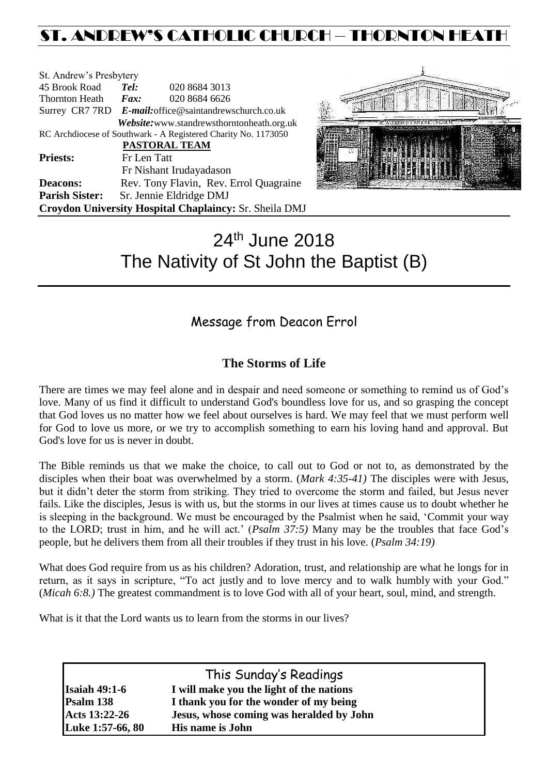## ST. ANDREW'S CATHOLIC CHURCH – THORNTON HEAT

| St. Andrew's Presbytery |                                                        |                                                                |  |  |  |
|-------------------------|--------------------------------------------------------|----------------------------------------------------------------|--|--|--|
| 45 Brook Road           | Tel:                                                   | 020 8684 3013                                                  |  |  |  |
| <b>Thornton Heath</b>   | $\boldsymbol{F}$ <i>ax</i> :                           | 020 8684 6626                                                  |  |  |  |
|                         | Surrey CR7 7RD E-mail: office@saintandrewschurch.co.uk |                                                                |  |  |  |
|                         |                                                        | Website: www.standrewsthorntonheath.org.uk                     |  |  |  |
|                         |                                                        | RC Archdiocese of Southwark - A Registered Charity No. 1173050 |  |  |  |
|                         |                                                        | <b>PASTORAL TEAM</b>                                           |  |  |  |
| <b>Priests:</b>         | Fr Len Tatt                                            |                                                                |  |  |  |
|                         |                                                        | Fr Nishant Irudayadason                                        |  |  |  |
| <b>Deacons:</b>         |                                                        | Rev. Tony Flavin, Rev. Errol Quagraine                         |  |  |  |
| <b>Parish Sister:</b>   |                                                        | Sr. Jennie Eldridge DMJ                                        |  |  |  |
|                         |                                                        | Croydon University Hospital Chaplaincy: Sr. Sheila DMJ         |  |  |  |



# 24<sup>th</sup> June 2018 The Nativity of St John the Baptist (B)

### Message from Deacon Errol

### **The Storms of Life**

There are times we may feel alone and in despair and need someone or something to remind us of God's love. Many of us find it difficult to understand God's boundless love for us, and so grasping the concept that God loves us no matter how we feel about ourselves is hard. We may feel that we must perform well for God to love us more, or we try to accomplish something to earn his loving hand and approval. But God's love for us is never in doubt.

The Bible reminds us that we make the choice, to call out to God or not to, as demonstrated by the disciples when their boat was overwhelmed by a storm. (*Mark 4:35-41)* The disciples were with Jesus, but it didn't deter the storm from striking. They tried to overcome the storm and failed, but Jesus never fails. Like the disciples, Jesus is with us, but the storms in our lives at times cause us to doubt whether he is sleeping in the background. We must be encouraged by the Psalmist when he said, 'Commit your way to the LORD; trust in him, and he will act.' (*Psalm 37:5)* Many may be the troubles that face God's people, but he delivers them from all their troubles if they trust in his love. (*Psalm 34:19)*

What does God require from us as his children? Adoration, trust, and relationship are what he longs for in return, as it says in scripture, "To act justly and to love mercy and to walk humbly with your God." (*Micah 6:8.)* The greatest commandment is to love God with all of your heart, soul, mind, and strength.

What is it that the Lord wants us to learn from the storms in our lives?

| This Sunday's Readings |                                          |  |  |  |
|------------------------|------------------------------------------|--|--|--|
| <b>Isaiah 49:1-6</b>   | I will make you the light of the nations |  |  |  |
| Psalm 138              | I thank you for the wonder of my being   |  |  |  |
| Acts 13:22-26          | Jesus, whose coming was heralded by John |  |  |  |
| Luke 1:57-66, 80       | <b>His name is John</b>                  |  |  |  |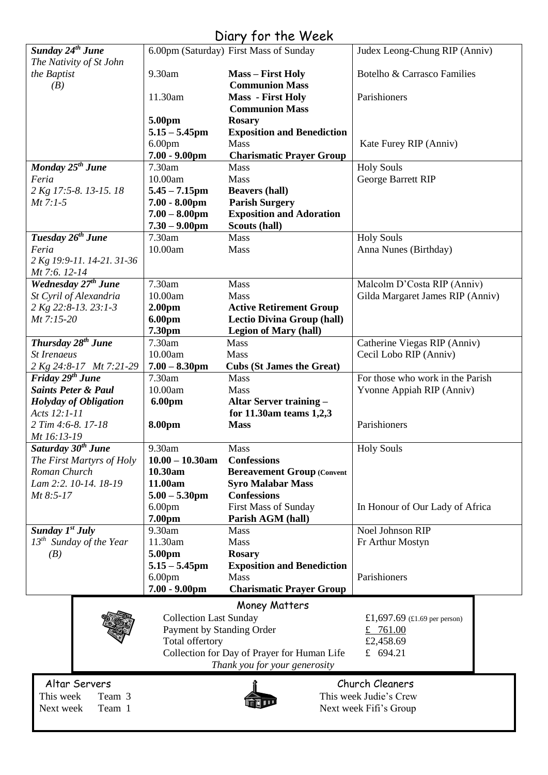### Diary for the Week

|                                                         |                                        | $U(1)$ y $101$ $110$ $100$                              |                                                        |  |  |
|---------------------------------------------------------|----------------------------------------|---------------------------------------------------------|--------------------------------------------------------|--|--|
| Sunday 24 <sup>th</sup> June<br>The Nativity of St John |                                        | 6.00pm (Saturday) First Mass of Sunday                  | Judex Leong-Chung RIP (Anniv)                          |  |  |
| the Baptist                                             | 9.30am                                 | <b>Mass - First Holy</b>                                | Botelho & Carrasco Families                            |  |  |
| (B)                                                     |                                        | <b>Communion Mass</b>                                   |                                                        |  |  |
|                                                         | 11.30am                                | <b>Mass</b> - First Holy                                | Parishioners                                           |  |  |
|                                                         | 5.00pm                                 | <b>Communion Mass</b><br><b>Rosary</b>                  |                                                        |  |  |
|                                                         | $5.15 - 5.45$ pm                       | <b>Exposition and Benediction</b>                       |                                                        |  |  |
|                                                         | 6.00 <sub>pm</sub>                     | Mass                                                    | Kate Furey RIP (Anniv)                                 |  |  |
|                                                         | $7.00 - 9.00$ pm                       | <b>Charismatic Prayer Group</b>                         |                                                        |  |  |
| Monday 25 <sup>th</sup> June                            | 7.30am                                 | Mass                                                    | <b>Holy Souls</b>                                      |  |  |
| Feria                                                   | 10.00am                                | Mass                                                    | George Barrett RIP                                     |  |  |
| 2 Kg 17:5-8. 13-15. 18                                  | $5.45 - 7.15$ pm                       | <b>Beavers (hall)</b>                                   |                                                        |  |  |
| $Mt$ 7:1-5                                              | $7.00 - 8.00$ pm                       | <b>Parish Surgery</b>                                   |                                                        |  |  |
|                                                         | $7.00 - 8.00$ pm                       | <b>Exposition and Adoration</b>                         |                                                        |  |  |
| Tuesday 26 <sup>th</sup> June                           | $7.30 - 9.00$ pm<br>7.30am             | Scouts (hall)<br><b>Mass</b>                            | <b>Holy Souls</b>                                      |  |  |
| Feria                                                   | 10.00am                                | Mass                                                    | Anna Nunes (Birthday)                                  |  |  |
| 2 Kg 19:9-11. 14-21. 31-36                              |                                        |                                                         |                                                        |  |  |
| Mt 7:6. 12-14                                           |                                        |                                                         |                                                        |  |  |
| Wednesday 27 <sup>th</sup> June                         | 7.30am                                 | Mass                                                    | Malcolm D'Costa RIP (Anniv)                            |  |  |
| St Cyril of Alexandria                                  | 10.00am                                | Mass                                                    | Gilda Margaret James RIP (Anniv)                       |  |  |
| 2 Kg 22:8-13. 23:1-3                                    | 2.00 <sub>pm</sub>                     | <b>Active Retirement Group</b>                          |                                                        |  |  |
| Mt 7:15-20                                              | 6.00pm                                 | <b>Lectio Divina Group (hall)</b>                       |                                                        |  |  |
|                                                         | 7.30pm                                 | <b>Legion of Mary (hall)</b>                            |                                                        |  |  |
| Thursday 28 <sup>th</sup> June<br><b>St Irenaeus</b>    | 7.30am<br>10.00am                      | Mass<br>Mass                                            | Catherine Viegas RIP (Anniv)<br>Cecil Lobo RIP (Anniv) |  |  |
| 2 Kg 24:8-17 Mt 7:21-29                                 | $7.00 - 8.30$ pm                       | <b>Cubs (St James the Great)</b>                        |                                                        |  |  |
| Friday 29 <sup>th</sup> June                            | 7.30am                                 | Mass                                                    | For those who work in the Parish                       |  |  |
| <b>Saints Peter &amp; Paul</b>                          | 10.00am                                | Mass                                                    | Yvonne Appiah RIP (Anniv)                              |  |  |
| <b>Holyday of Obligation</b>                            | 6.00pm                                 | <b>Altar Server training -</b>                          |                                                        |  |  |
| Acts 12:1-11                                            |                                        | for 11.30am teams 1,2,3                                 |                                                        |  |  |
| 2 Tim 4:6-8. 17-18                                      | <b>8.00pm</b>                          | <b>Mass</b>                                             | Parishioners                                           |  |  |
| Mt 16:13-19                                             |                                        |                                                         |                                                        |  |  |
| Saturday 30 <sup>th</sup> June                          | 9.30am                                 | Mass                                                    | <b>Holy Souls</b>                                      |  |  |
| The First Martyrs of Holy<br>Roman Church               | $10.00 - 10.30$ am<br>10.30am          | <b>Confessions</b><br><b>Bereavement Group (Convent</b> |                                                        |  |  |
| Lam 2:2. 10-14. 18-19                                   | 11.00am                                | <b>Syro Malabar Mass</b>                                |                                                        |  |  |
| Mt 8:5-17                                               | $5.00 - 5.30$ pm                       | <b>Confessions</b>                                      |                                                        |  |  |
|                                                         | 6.00 <sub>pm</sub>                     | <b>First Mass of Sunday</b>                             | In Honour of Our Lady of Africa                        |  |  |
|                                                         | 7.00pm                                 | Parish AGM (hall)                                       |                                                        |  |  |
| Sunday $1^{st}$ July                                    | 9.30am                                 | <b>Mass</b>                                             | Noel Johnson RIP                                       |  |  |
| $13^{th}$ Sunday of the Year                            | 11.30am                                | Mass                                                    | Fr Arthur Mostyn                                       |  |  |
| (B)                                                     | 5.00pm                                 | <b>Rosary</b>                                           |                                                        |  |  |
|                                                         | $5.15 - 5.45$ pm                       | <b>Exposition and Benediction</b>                       |                                                        |  |  |
|                                                         | 6.00 <sub>pm</sub><br>$7.00 - 9.00$ pm | Mass<br><b>Charismatic Prayer Group</b>                 | Parishioners                                           |  |  |
|                                                         |                                        |                                                         |                                                        |  |  |
|                                                         |                                        | Money Matters                                           |                                                        |  |  |
|                                                         | <b>Collection Last Sunday</b>          |                                                         | £1,697.69 (£1.69 per person)                           |  |  |
|                                                         | Payment by Standing Order              |                                                         | £ 761.00                                               |  |  |
|                                                         | Total offertory                        | Collection for Day of Prayer for Human Life             | £2,458.69<br>£ $694.21$                                |  |  |
|                                                         |                                        | Thank you for your generosity                           |                                                        |  |  |
|                                                         |                                        |                                                         |                                                        |  |  |
| Altar Servers                                           |                                        |                                                         | Church Cleaners                                        |  |  |
| This week<br>Team 3                                     | This week Judie's Crew                 |                                                         |                                                        |  |  |
| Team 1<br>Next week                                     |                                        |                                                         | Next week Fifi's Group                                 |  |  |
|                                                         |                                        |                                                         |                                                        |  |  |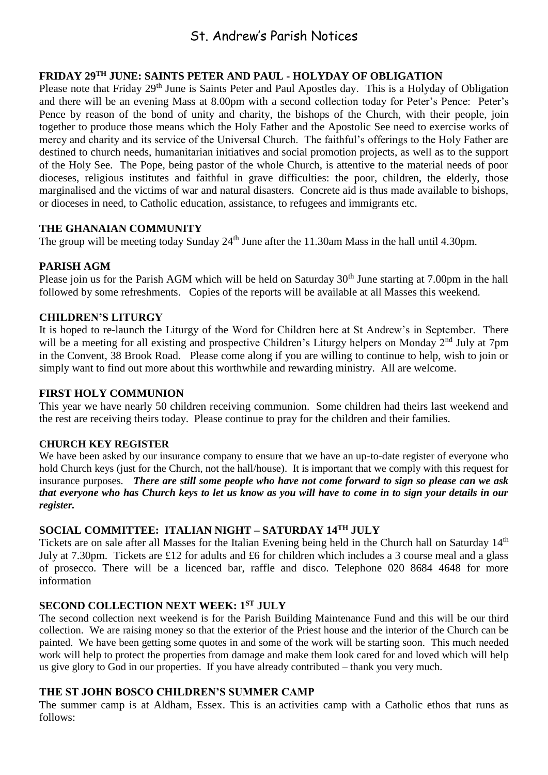### St. Andrew's Parish Notices

#### **FRIDAY 29TH JUNE: SAINTS PETER AND PAUL - HOLYDAY OF OBLIGATION**

Please note that Friday 29<sup>th</sup> June is Saints Peter and Paul Apostles day. This is a Holyday of Obligation and there will be an evening Mass at 8.00pm with a second collection today for Peter's Pence: Peter's Pence by reason of the bond of unity and charity, the bishops of the Church, with their people, join together to produce those means which the Holy Father and the Apostolic See need to exercise works of mercy and charity and its service of the Universal Church. The faithful's offerings to the Holy Father are destined to church needs, humanitarian initiatives and social promotion projects, as well as to the support of the Holy See. The Pope, being pastor of the whole Church, is attentive to the material needs of poor dioceses, religious institutes and faithful in grave difficulties: the poor, children, the elderly, those marginalised and the victims of war and natural disasters. Concrete aid is thus made available to bishops, or dioceses in need, to Catholic education, assistance, to refugees and immigrants etc.

#### **THE GHANAIAN COMMUNITY**

The group will be meeting today Sunday 24<sup>th</sup> June after the 11.30am Mass in the hall until 4.30pm.

#### **PARISH AGM**

Please join us for the Parish AGM which will be held on Saturday 30<sup>th</sup> June starting at 7.00pm in the hall followed by some refreshments. Copies of the reports will be available at all Masses this weekend.

#### **CHILDREN'S LITURGY**

It is hoped to re-launch the Liturgy of the Word for Children here at St Andrew's in September. There will be a meeting for all existing and prospective Children's Liturgy helpers on Monday 2<sup>nd</sup> July at 7pm in the Convent, 38 Brook Road. Please come along if you are willing to continue to help, wish to join or simply want to find out more about this worthwhile and rewarding ministry. All are welcome.

#### **FIRST HOLY COMMUNION**

This year we have nearly 50 children receiving communion. Some children had theirs last weekend and the rest are receiving theirs today. Please continue to pray for the children and their families.

#### **CHURCH KEY REGISTER**

We have been asked by our insurance company to ensure that we have an up-to-date register of everyone who hold Church keys (just for the Church, not the hall/house). It is important that we comply with this request for insurance purposes. *There are still some people who have not come forward to sign so please can we ask that everyone who has Church keys to let us know as you will have to come in to sign your details in our register.* 

#### **SOCIAL COMMITTEE: ITALIAN NIGHT – SATURDAY 14TH JULY**

Tickets are on sale after all Masses for the Italian Evening being held in the Church hall on Saturday 14th July at 7.30pm. Tickets are £12 for adults and £6 for children which includes a 3 course meal and a glass of prosecco. There will be a licenced bar, raffle and disco. Telephone 020 8684 4648 for more information

#### **SECOND COLLECTION NEXT WEEK: 1ST JULY**

The second collection next weekend is for the Parish Building Maintenance Fund and this will be our third collection. We are raising money so that the exterior of the Priest house and the interior of the Church can be painted. We have been getting some quotes in and some of the work will be starting soon. This much needed work will help to protect the properties from damage and make them look cared for and loved which will help us give glory to God in our properties. If you have already contributed – thank you very much.

#### **THE ST JOHN BOSCO CHILDREN'S SUMMER CAMP**

The summer camp is at Aldham, Essex. This is an activities camp with a Catholic ethos that runs as follows: